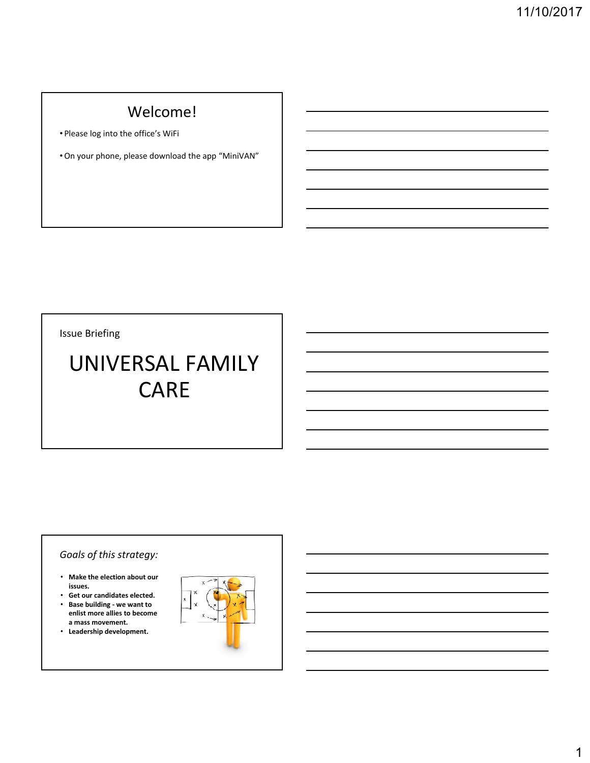# Welcome!

• Please log into the office's WiFi

• On your phone, please download the app "MiniVAN"

Issue Briefing

# UNIVERSAL FAMILY CARE

# *Goals of this strategy:*

- **Make the election about our issues.**
- **Get our candidates elected.**  • **B b ildi Base building ‐ we want to enlist more allies to become a mass movement.**
- **Leadership development.**

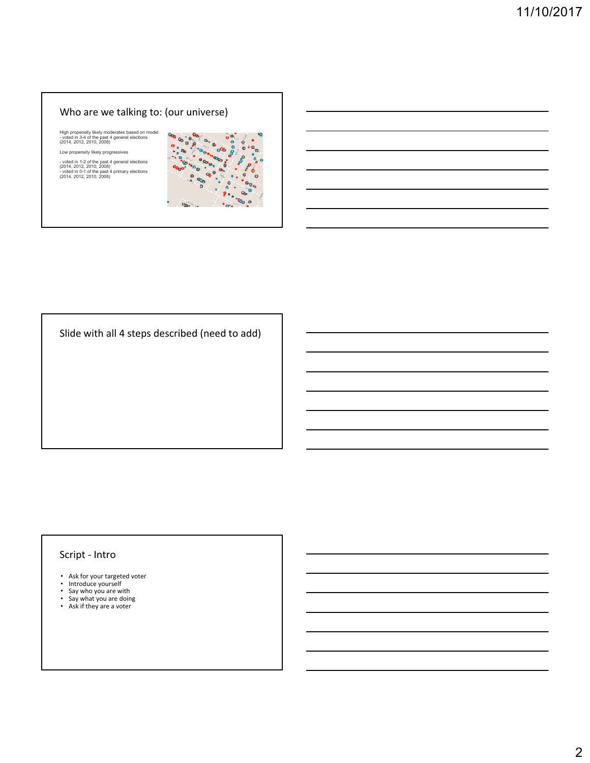### Who are we talking to: (our universe)

High propensity likely moderates based on model - voted in 3-4 of the past 4 general elections (2014, 2012, 2010, 2008)

Low propensity likely progressives

- voted in 1-2 of the past 4 general elections (2014, 2012, 2010, 2008) - voted in 0-1 of the past 4 primary elections (2014, 2012, 2010, 2008)



Slide with all 4 steps described (need to add)

#### Script ‐ Intro

- Ask for your targeted voter Introduce yourself
- 
- Say who you are with Say what you are doing
- 
- Ask if they are a voter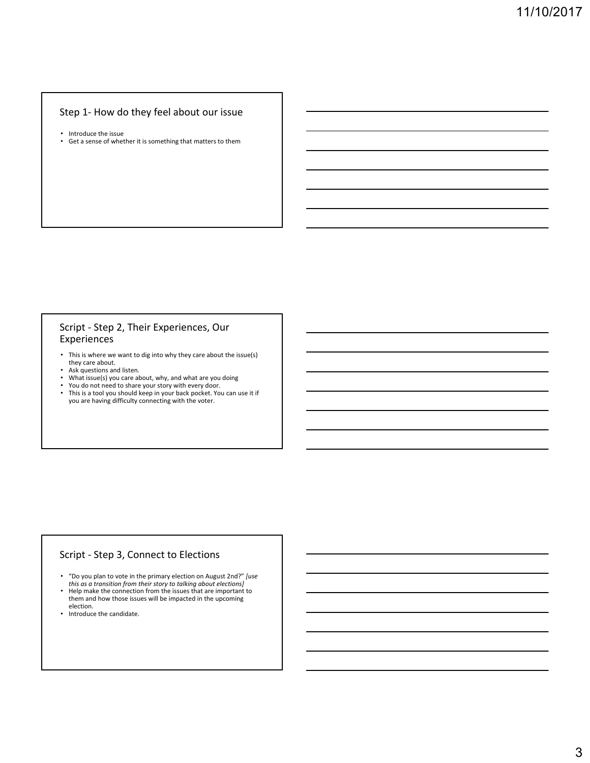#### Step 1- How do they feel about our issue

- 
- Introduce the issue Get a sense of whether it is something that matters to them

#### Script ‐ Step 2, Their Experiences, Our Experiences

- This is where we want to dig into why they care about the issue(s)
- they care about. Ask questions and listen.
- What issue(s) you care about, why, and what are you doing You do not need to share your story with every door. This is a tool you should keep in your back pocket. You can use it if
- 
- you are having difficulty connecting with the voter.

#### Script ‐ Step 3, Connect to Elections

- "Do you plan to vote in the primary election on August 2nd?" *[use this as a transition from their story to talking about elections]*
- Help make the connection from the issues that are important to them and how those issues will be impacted in the upcoming election.
- Introduce the candidate.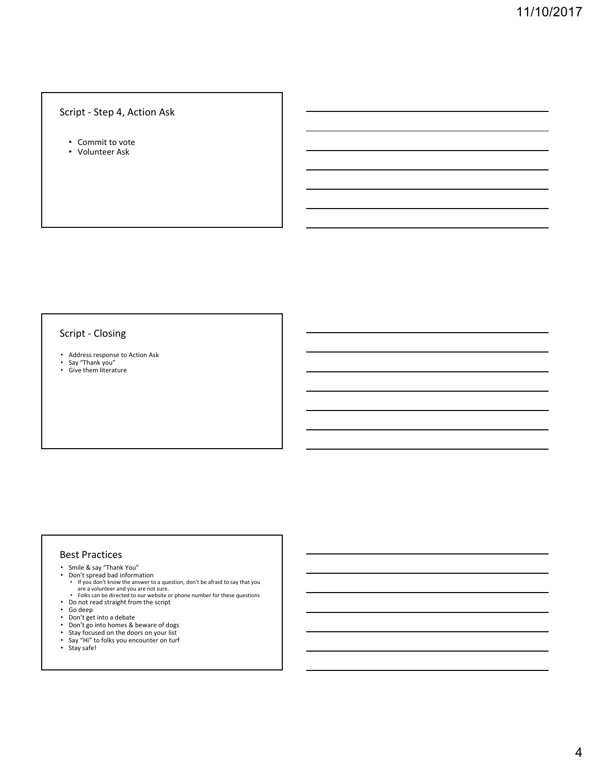#### Script ‐ Step 4, Action Ask

- Commit to vote
- Volunteer Ask

#### Script ‐ Closing

- Address response to Action Ask
- Say "Thank you" Give them literature

#### Best Practices

- Smile & say "Thank You"
- Don't spread bad information • If you don't know the answer to a question, don't be afraid to say that you
	- are a volunteer and you are not sure. Folks can be directed to our website or phone number for these questions
- Do not read straight from the script • Go deep
- 
- Don't get into a debate<br>• Don't go into homes & beware of dogs
- Don't go into homes & beware of dogs Stay focused on the doors on your list
- Say "Hi" to folks you encounter on turf Stay safe!
-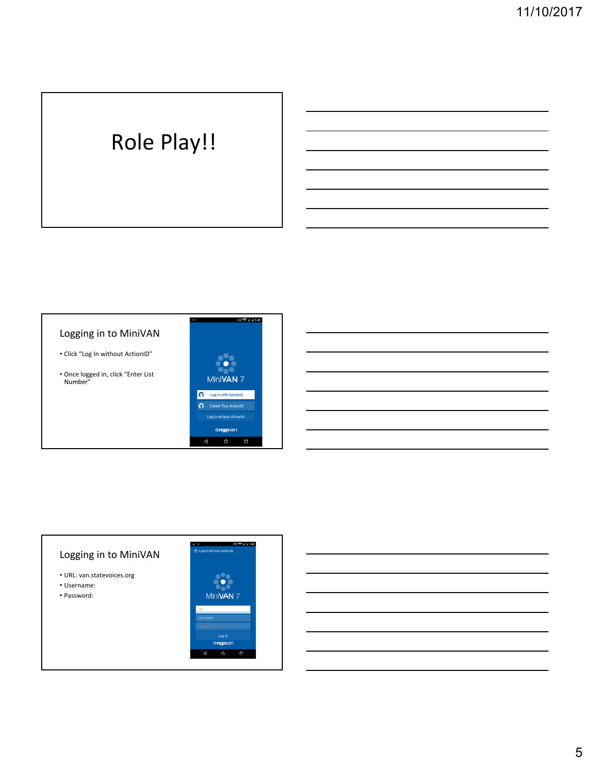# Role Play!!

## Logging in to MiniVAN

- Click "Log In without ActionID"
- Once logged in, click "Enter List Number"



# Logging in to MiniVAN

- URL: van.statevoices.org
- Username: • Password:

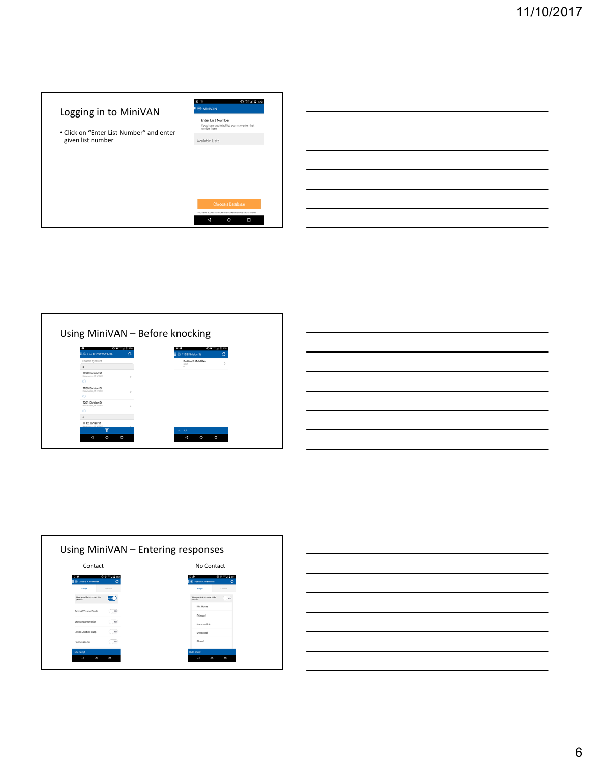| Logging in to MiniVAN<br>• Click on "Enter List Number" and enter<br>given list number | 0.574.014<br><b>E</b> MiniVAN<br>Enter List Number<br>If you have a printed list, you may enter that<br>number here<br>Available Lists |
|----------------------------------------------------------------------------------------|----------------------------------------------------------------------------------------------------------------------------------------|
|                                                                                        | Choose a Database<br>You have access to more than one database bibliot state                                                           |
|                                                                                        | $\circ$<br>Ω<br>۰đ                                                                                                                     |